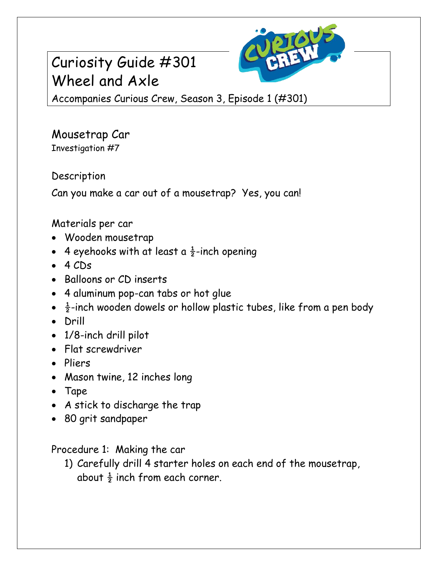# Curiosity Guide #301 Wheel and Axle



Accompanies Curious Crew, Season 3, Episode 1 (#301)

Mousetrap Car Investigation #7

Description

Can you make a car out of a mousetrap? Yes, you can!

### Materials per car

- Wooden mousetrap
- 4 eyehooks with at least a  $\frac{1}{2}$ -inch opening
- $-4$  CDs
- Balloons or CD inserts
- 4 aluminum pop-can tabs or hot glue
- $\frac{1}{2}$ -inch wooden dowels or hollow plastic tubes, like from a pen body
- Drill
- 1/8-inch drill pilot
- Flat screwdriver
- Pliers
- Mason twine, 12 inches long
- Tape
- A stick to discharge the trap
- 80 grit sandpaper

Procedure 1: Making the car

1) Carefully drill 4 starter holes on each end of the mousetrap, about  $\frac{1}{2}$  inch from each corner.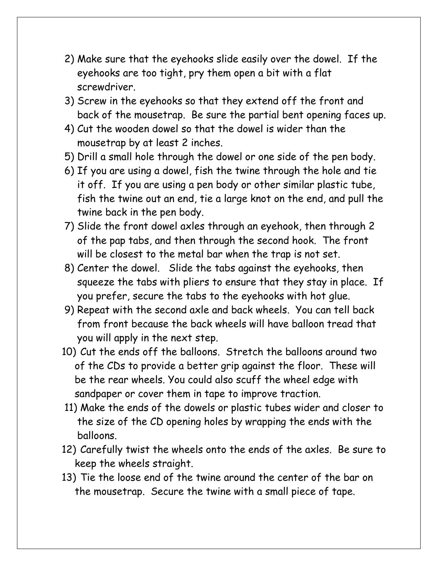- 2) Make sure that the eyehooks slide easily over the dowel. If the eyehooks are too tight, pry them open a bit with a flat screwdriver.
- 3) Screw in the eyehooks so that they extend off the front and back of the mousetrap. Be sure the partial bent opening faces up.
- 4) Cut the wooden dowel so that the dowel is wider than the mousetrap by at least 2 inches.
- 5) Drill a small hole through the dowel or one side of the pen body.
- 6) If you are using a dowel, fish the twine through the hole and tie it off. If you are using a pen body or other similar plastic tube, fish the twine out an end, tie a large knot on the end, and pull the twine back in the pen body.
- 7) Slide the front dowel axles through an eyehook, then through 2 of the pap tabs, and then through the second hook. The front will be closest to the metal bar when the trap is not set.
- 8) Center the dowel. Slide the tabs against the eyehooks, then squeeze the tabs with pliers to ensure that they stay in place. If you prefer, secure the tabs to the eyehooks with hot glue.
- 9) Repeat with the second axle and back wheels. You can tell back from front because the back wheels will have balloon tread that you will apply in the next step.
- 10) Cut the ends off the balloons. Stretch the balloons around two of the CDs to provide a better grip against the floor. These will be the rear wheels. You could also scuff the wheel edge with sandpaper or cover them in tape to improve traction.
- 11) Make the ends of the dowels or plastic tubes wider and closer to the size of the CD opening holes by wrapping the ends with the balloons.
- 12) Carefully twist the wheels onto the ends of the axles. Be sure to keep the wheels straight.
- 13) Tie the loose end of the twine around the center of the bar on the mousetrap. Secure the twine with a small piece of tape.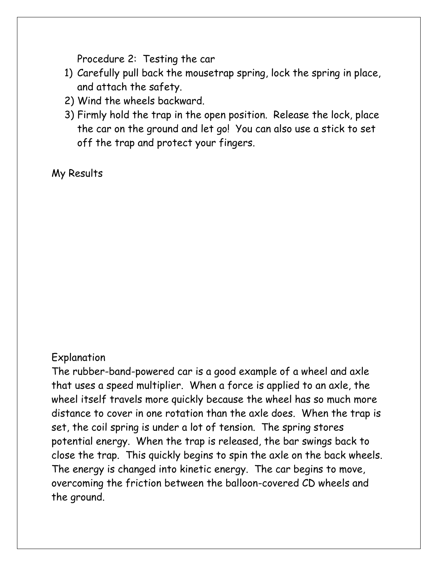Procedure 2: Testing the car

- 1) Carefully pull back the mousetrap spring, lock the spring in place, and attach the safety.
- 2) Wind the wheels backward.
- 3) Firmly hold the trap in the open position. Release the lock, place the car on the ground and let go! You can also use a stick to set off the trap and protect your fingers.

My Results

#### Explanation

The rubber-band-powered car is a good example of a wheel and axle that uses a speed multiplier. When a force is applied to an axle, the wheel itself travels more quickly because the wheel has so much more distance to cover in one rotation than the axle does. When the trap is set, the coil spring is under a lot of tension. The spring stores potential energy. When the trap is released, the bar swings back to close the trap. This quickly begins to spin the axle on the back wheels. The energy is changed into kinetic energy. The car begins to move, overcoming the friction between the balloon-covered CD wheels and the ground.